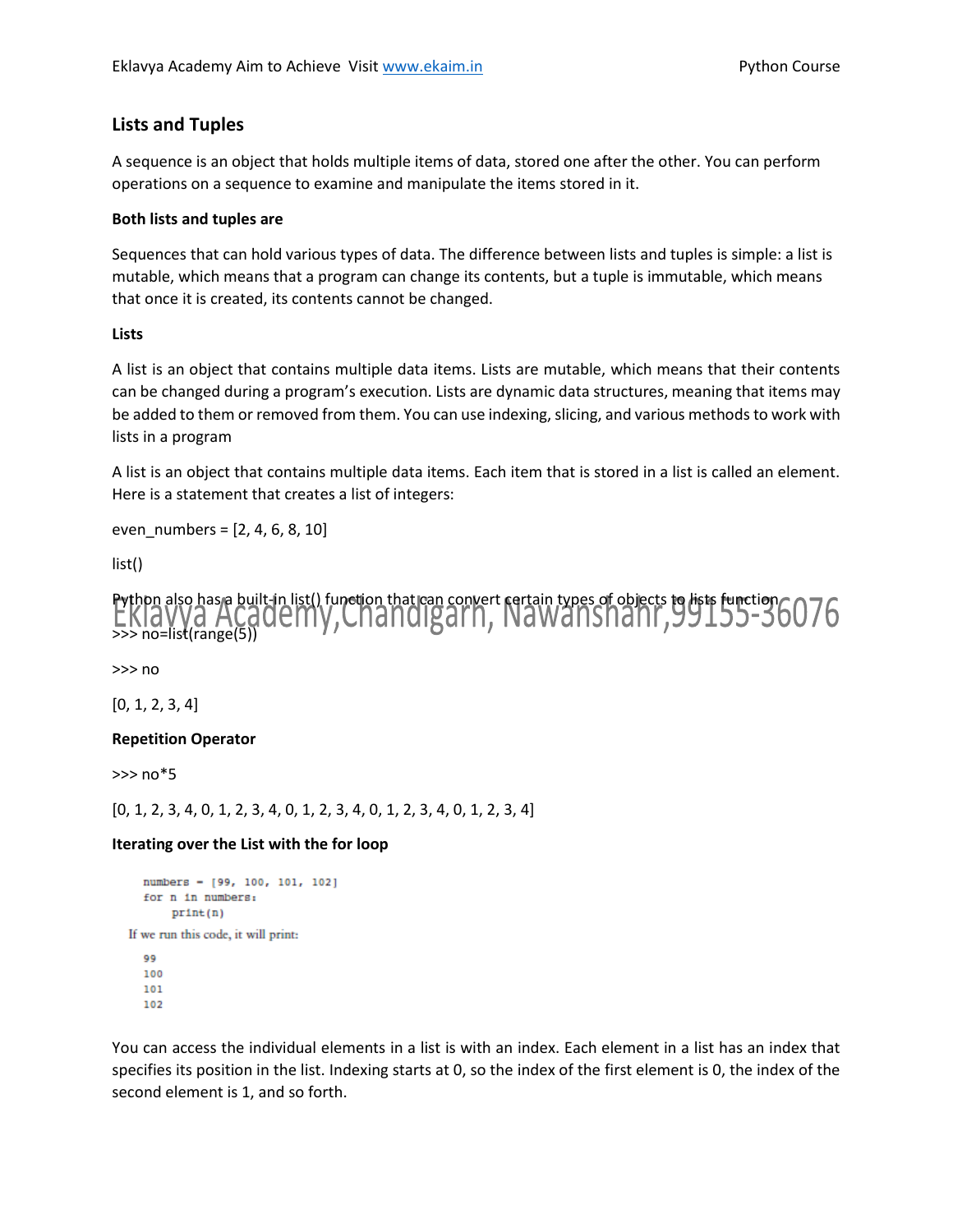# **Lists and Tuples**

A sequence is an object that holds multiple items of data, stored one after the other. You can perform operations on a sequence to examine and manipulate the items stored in it.

### **Both lists and tuples are**

Sequences that can hold various types of data. The difference between lists and tuples is simple: a list is mutable, which means that a program can change its contents, but a tuple is immutable, which means that once it is created, its contents cannot be changed.

### **Lists**

A list is an object that contains multiple data items. Lists are mutable, which means that their contents can be changed during a program's execution. Lists are dynamic data structures, meaning that items may be added to them or removed from them. You can use indexing, slicing, and various methods to work with lists in a program

A list is an object that contains multiple data items. Each item that is stored in a list is called an element. Here is a statement that creates a list of integers:

even  $numbers = [2, 4, 6, 8, 10]$ 

list()



>>> no

[0, 1, 2, 3, 4]

## **Repetition Operator**

>>> no\*5

[0, 1, 2, 3, 4, 0, 1, 2, 3, 4, 0, 1, 2, 3, 4, 0, 1, 2, 3, 4, 0, 1, 2, 3, 4]

## **Iterating over the List with the for loop**

```
numbers - [99, 100, 101, 102]
  for n in numbers:
      print(n)If we run this code, it will print:
  99
  100
  101
  102
```
You can access the individual elements in a list is with an index. Each element in a list has an index that specifies its position in the list. Indexing starts at 0, so the index of the first element is 0, the index of the second element is 1, and so forth.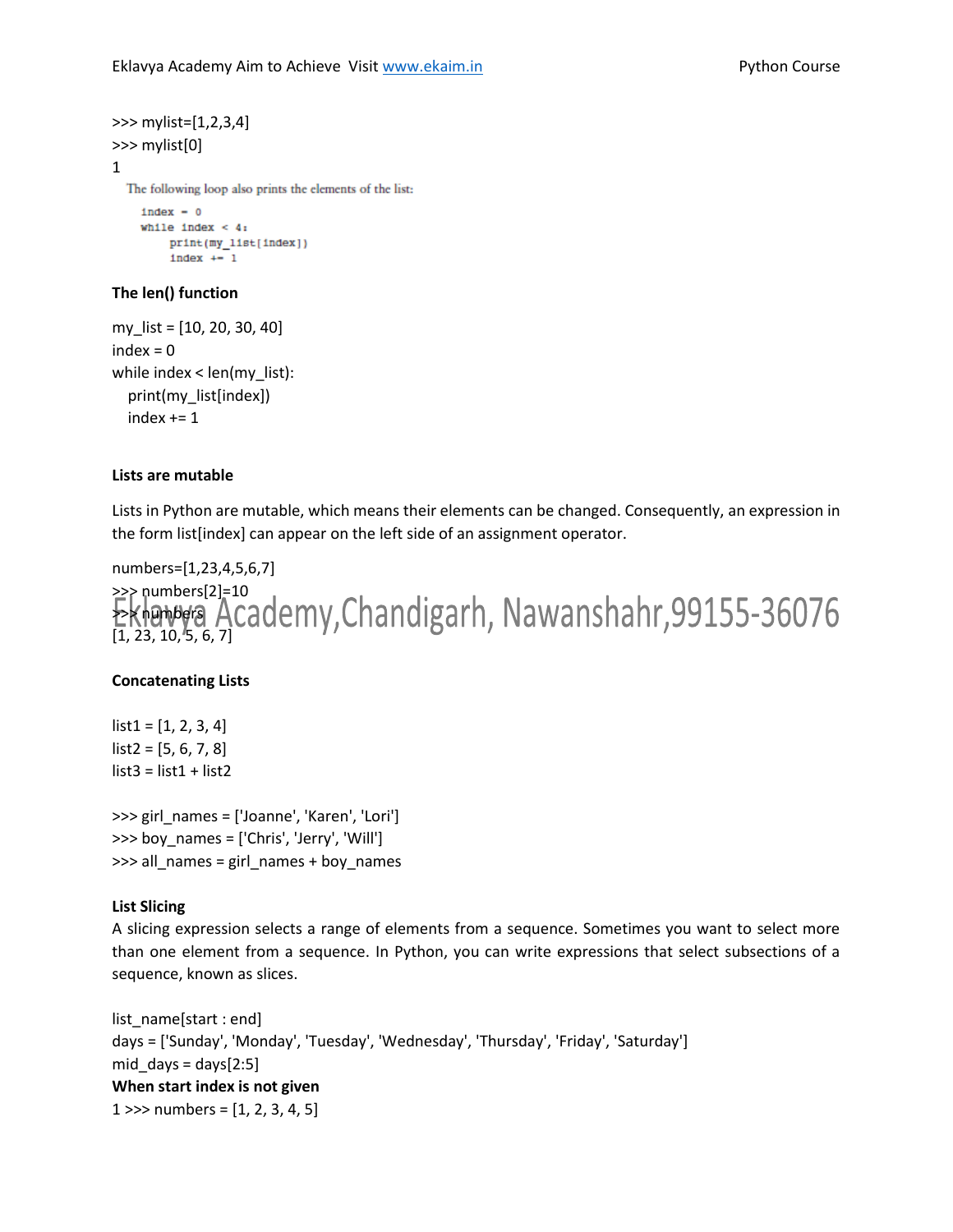```
>>> mylist=[1,2,3,4]
>>> mylist[0]
1
  The following loop also prints the elements of the list:
    index = 0while index < 4:print(my_list[index])
        index += 1
```
## **The len() function**

```
my_list = [10, 20, 30, 40]
index = 0while index < len(my_list):
   print(my_list[index])
  index += 1
```
### **Lists are mutable**

Lists in Python are mutable, which means their elements can be changed. Consequently, an expression in the form list[index] can appear on the left side of an assignment operator.

```
numbers=[1,23,4,5,6,7]
>>> numbers[2]=10
Extering Academy, Chandigarh, Nawanshahr, 99155-36076
[1, 23, 10, 5, 6, 7]
```
## **Concatenating Lists**

 $list1 = [1, 2, 3, 4]$  $list2 = [5, 6, 7, 8]$  $list3 = list1 + list2$ 

>>> girl\_names = ['Joanne', 'Karen', 'Lori'] >>> boy\_names = ['Chris', 'Jerry', 'Will'] >>> all\_names = girl\_names + boy\_names

#### **List Slicing**

A slicing expression selects a range of elements from a sequence. Sometimes you want to select more than one element from a sequence. In Python, you can write expressions that select subsections of a sequence, known as slices.

```
list_name[start : end]
days = ['Sunday', 'Monday', 'Tuesday', 'Wednesday', 'Thursday', 'Friday', 'Saturday']
mid\_days = days[2:5]When start index is not given
1 \gg numbers = [1, 2, 3, 4, 5]
```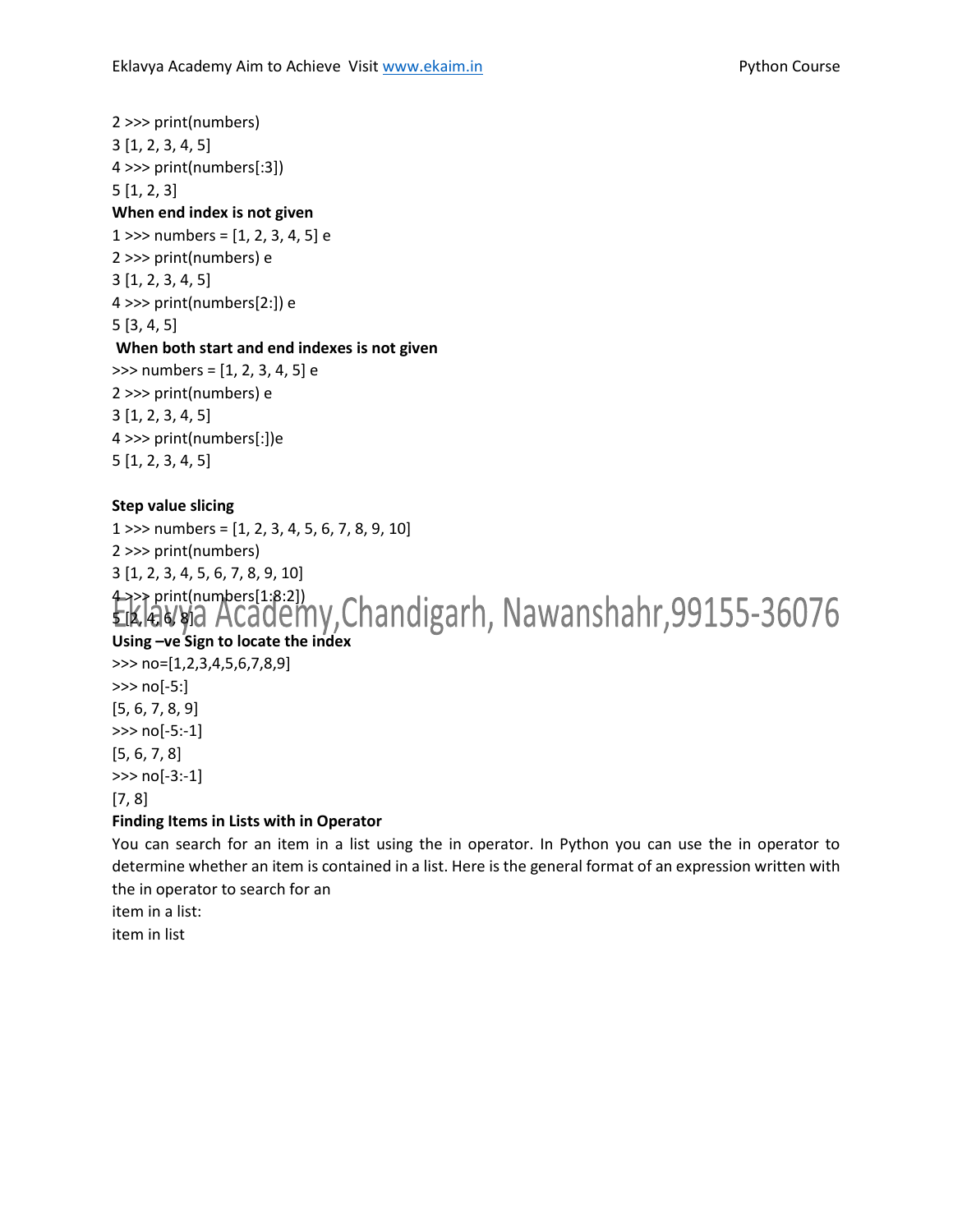2 >>> print(numbers) 3 [1, 2, 3, 4, 5] 4 >>> print(numbers[:3]) 5 [1, 2, 3] **When end index is not given** 1 >>> numbers =  $[1, 2, 3, 4, 5]$  e 2 >>> print(numbers) e 3 [1, 2, 3, 4, 5] 4 >>> print(numbers[2:]) e 5 [3, 4, 5] **When both start and end indexes is not given** >>> numbers = [1, 2, 3, 4, 5] e 2 >>> print(numbers) e 3 [1, 2, 3, 4, 5] 4 >>> print(numbers[:])e 5 [1, 2, 3, 4, 5]

# **Step value slicing**

1 >>> numbers = [1, 2, 3, 4, 5, 6, 7, 8, 9, 10] 2 >>> print(numbers)

3 [1, 2, 3, 4, 5, 6, 7, 8, 9, 10]

 $\rightarrow$  print(numbers[1:8:2]) 5 [2, 4, 6, 8] **Using –ve Sign to locate the index**

>>> no=[1,2,3,4,5,6,7,8,9] >>> no[-5:] [5, 6, 7, 8, 9] >>> no[-5:-1] [5, 6, 7, 8]

>>> no[-3:-1]

# [7, 8]

# **Finding Items in Lists with in Operator**

You can search for an item in a list using the in operator. In Python you can use the in operator to determine whether an item is contained in a list. Here is the general format of an expression written with the in operator to search for an

item in a list:

item in list